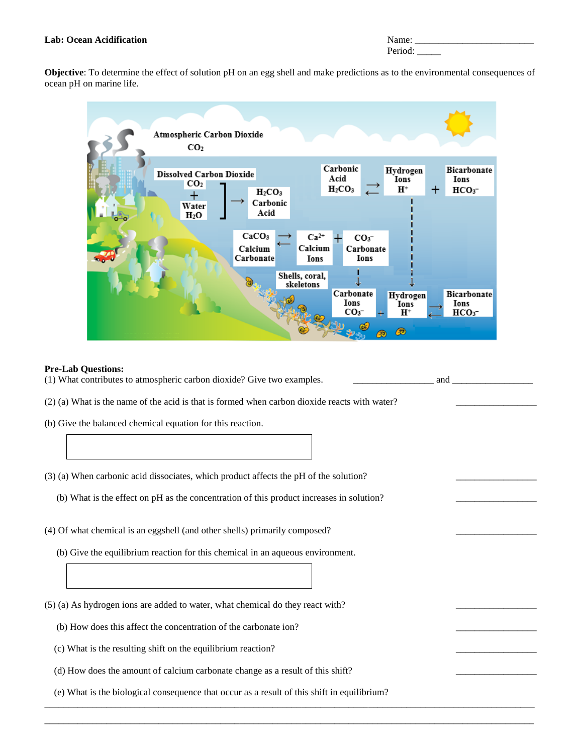### **Lab: Ocean Acidification**

| Name:   |  |
|---------|--|
| Period: |  |

**Objective**: To determine the effect of solution pH on an egg shell and make predictions as to the environmental consequences of ocean pH on marine life.



### **Pre-Lab Questions:**

(1) What contributes to atmospheric carbon dioxide? Give two examples. \_\_\_\_\_\_\_\_\_\_\_\_\_\_\_\_\_ and \_\_\_\_\_\_\_\_\_\_\_\_\_\_\_\_\_

\_\_\_\_\_\_\_\_\_\_\_\_\_\_\_\_\_\_\_\_\_\_\_\_\_\_\_\_\_\_\_\_\_\_\_\_\_\_\_\_\_\_\_\_\_\_\_\_\_\_\_\_\_\_\_\_\_\_\_\_\_\_\_\_\_\_\_\_\_\_\_\_\_\_\_\_\_\_\_\_\_\_\_\_\_\_\_\_\_\_\_\_\_\_\_\_\_\_\_\_\_\_\_ \_\_\_\_\_\_\_\_\_\_\_\_\_\_\_\_\_\_\_\_\_\_\_\_\_\_\_\_\_\_\_\_\_\_\_\_\_\_\_\_\_\_\_\_\_\_\_\_\_\_\_\_\_\_\_\_\_\_\_\_\_\_\_\_\_\_\_\_\_\_\_\_\_\_\_\_\_\_\_\_\_\_\_\_\_\_\_\_\_\_\_\_\_\_\_\_\_\_\_\_\_\_\_

 $(2)$  (a) What is the name of the acid is that is formed when carbon dioxide reacts with water?

- (b) Give the balanced chemical equation for this reaction.
- (3) (a) When carbonic acid dissociates, which product affects the pH of the solution? \_\_\_\_\_\_\_\_\_\_\_\_\_\_\_\_\_
	- (b) What is the effect on pH as the concentration of this product increases in solution? \_\_\_\_\_\_\_\_\_\_\_\_\_\_\_\_\_
- (4) Of what chemical is an eggshell (and other shells) primarily composed?
	- (b) Give the equilibrium reaction for this chemical in an aqueous environment.

 $(5)$  (a) As hydrogen ions are added to water, what chemical do they react with?

(b) How does this affect the concentration of the carbonate ion? \_\_\_\_\_\_\_\_\_\_\_\_\_\_\_\_\_

- (c) What is the resulting shift on the equilibrium reaction? \_\_\_\_\_\_\_\_\_\_\_\_\_\_\_\_\_
- (d) How does the amount of calcium carbonate change as a result of this shift? \_\_\_\_\_\_\_\_\_\_\_\_\_\_\_\_\_
- (e) What is the biological consequence that occur as a result of this shift in equilibrium?